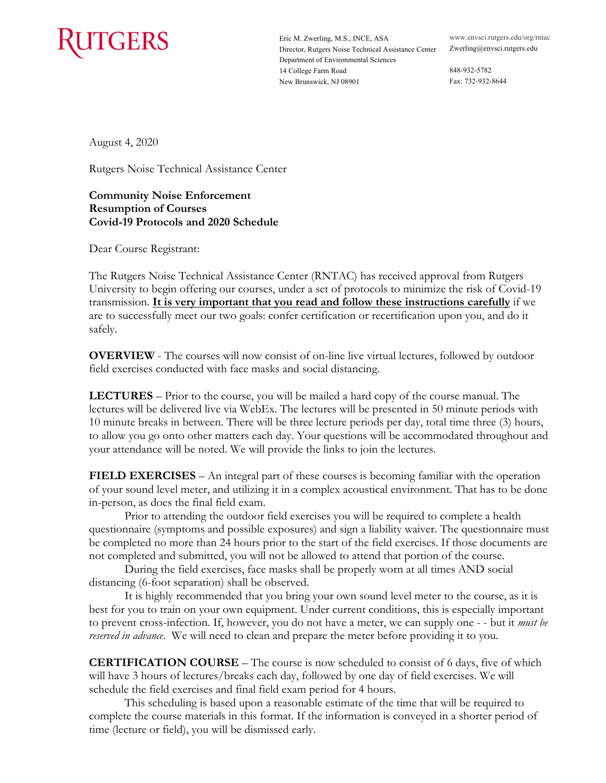

 Eric M. Zwerling, M.S., INCE, ASA <www.envsci.rutgers.edu/org/rntac> Department of Environmental Sciences 14 College Farm Road 848-932-5782 New Brunswick, NJ 08901 Fax: 732-932-8644 Director, Rutgers Noise Technical Assistance Center [Zwerling@envsci.rutgers.edu](mailto:Zwerling@envsci.rutgers.edu)

August 4, 2020

Rutgers Noise Technical Assistance Center

 **Covid-19 Protocols and 2020 Schedule Community Noise Enforcement Resumption of Courses** 

Dear Course Registrant:

 University to begin offering our courses, under a set of protocols to minimize the risk of Covid-19 transmission. **It is very important that you read and follow these instructions carefully** if we The Rutgers Noise Technical Assistance Center (RNTAC) has received approval from Rutgers are to successfully meet our two goals: confer certification or recertification upon you, and do it safely.

 **OVERVIEW** - The courses will now consist of on-line live virtual lectures, followed by outdoor field exercises conducted with face masks and social distancing.

 **LECTURES** – Prior to the course, you will be mailed a hard copy of the course manual. The 10 minute breaks in between. There will be three lecture periods per day, total time three (3) hours, to allow you go onto other matters each day. Your questions will be accommodated throughout and your attendance will be noted. We will provide the links to join the lectures. lectures will be delivered live via WebEx. The lectures will be presented in 50 minute periods with

 **FIELD EXERCISES** – An integral part of these courses is becoming familiar with the operation of your sound level meter, and utilizing it in a complex acoustical environment. That has to be done in-person, as does the final field exam.

 in-person, as does the final field exam. Prior to attending the outdoor field exercises you will be required to complete a health questionnaire (symptoms and possible exposures) and sign a liability waiver. The questionnaire must be completed no more than 24 hours prior to the start of the field exercises. If those documents are

 not completed and submitted, you will not be allowed to attend that portion of the course. During the field exercises, face masks shall be properly worn at all times AND social During the field exercises, face masks shall be properly worn at all times AND social distancing (6-foot separation) shall be observed.

 distancing (6-foot separation) shall be observed. It is highly recommended that you bring your own sound level meter to the course, as it is to prevent cross-infection. If, however, you do not have a meter, we can supply one - - but it *must be*  best for you to train on your own equipment. Under current conditions, this is especially important *reserved in advance*. We will need to clean and prepare the meter before providing it to you.

 **CERTIFICATION COURSE** – The course is now scheduled to consist of 6 days, five of which schedule the field exercises and final field exam period for 4 hours. will have 3 hours of lectures/breaks each day, followed by one day of field exercises. We will

This scheduling is based upon a reasonable estimate of the time that will be required to complete the course materials in this format. If the information is conveyed in a shorter period of time (lecture or field), you will be dismissed early.